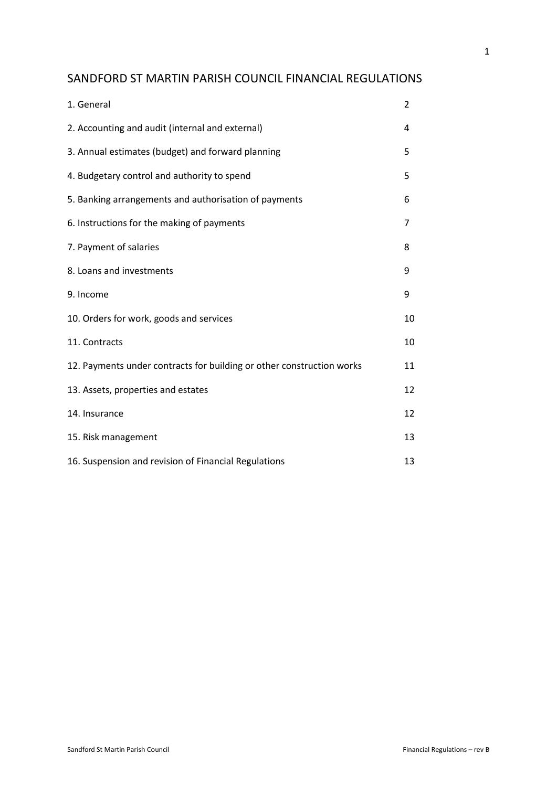# SANDFORD ST MARTIN PARISH COUNCIL FINANCIAL REGULATIONS

| 1. General                                                            | $\overline{2}$ |
|-----------------------------------------------------------------------|----------------|
| 2. Accounting and audit (internal and external)                       | 4              |
| 3. Annual estimates (budget) and forward planning                     | 5              |
| 4. Budgetary control and authority to spend                           | 5              |
| 5. Banking arrangements and authorisation of payments                 | 6              |
| 6. Instructions for the making of payments                            | 7              |
| 7. Payment of salaries                                                | 8              |
| 8. Loans and investments                                              | 9              |
| 9. Income                                                             | 9              |
| 10. Orders for work, goods and services                               | 10             |
| 11. Contracts                                                         | 10             |
| 12. Payments under contracts for building or other construction works | 11             |
| 13. Assets, properties and estates                                    | 12             |
| 14. Insurance                                                         | 12             |
| 15. Risk management                                                   | 13             |
| 16. Suspension and revision of Financial Regulations                  | 13             |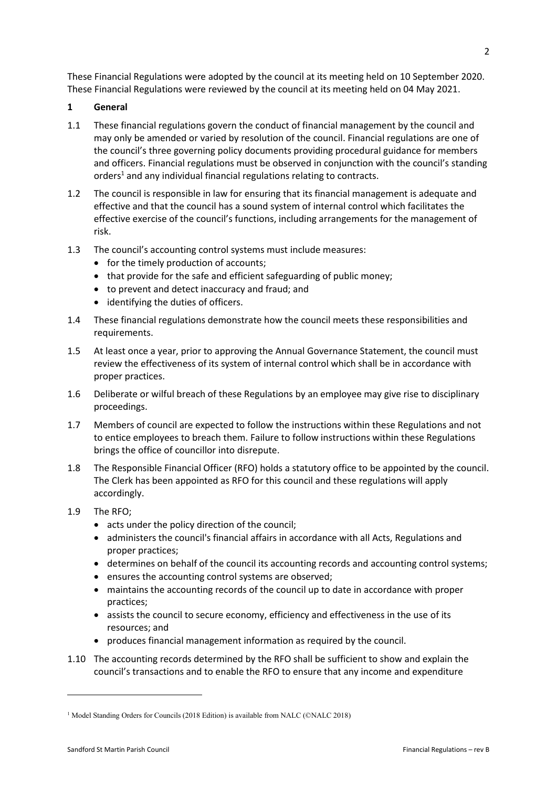These Financial Regulations were adopted by the council at its meeting held on 10 September 2020. These Financial Regulations were reviewed by the council at its meeting held on 04 May 2021.

# **1 General**

- 1.1 These financial regulations govern the conduct of financial management by the council and may only be amended or varied by resolution of the council. Financial regulations are one of the council's three governing policy documents providing procedural guidance for members and officers. Financial regulations must be observed in conjunction with the council's standing orders<sup>1</sup> and any individual financial regulations relating to contracts.
- 1.2 The council is responsible in law for ensuring that its financial management is adequate and effective and that the council has a sound system of internal control which facilitates the effective exercise of the council's functions, including arrangements for the management of risk.
- 1.3 The council's accounting control systems must include measures:
	- for the timely production of accounts;
	- that provide for the safe and efficient safeguarding of public money;
	- to prevent and detect inaccuracy and fraud; and
	- identifying the duties of officers.
- 1.4 These financial regulations demonstrate how the council meets these responsibilities and requirements.
- 1.5 At least once a year, prior to approving the Annual Governance Statement, the council must review the effectiveness of its system of internal control which shall be in accordance with proper practices.
- 1.6 Deliberate or wilful breach of these Regulations by an employee may give rise to disciplinary proceedings.
- 1.7 Members of council are expected to follow the instructions within these Regulations and not to entice employees to breach them. Failure to follow instructions within these Regulations brings the office of councillor into disrepute.
- 1.8 The Responsible Financial Officer (RFO) holds a statutory office to be appointed by the council. The Clerk has been appointed as RFO for this council and these regulations will apply accordingly.
- 1.9 The RFO;
	- acts under the policy direction of the council;
	- administers the council's financial affairs in accordance with all Acts, Regulations and proper practices;
	- determines on behalf of the council its accounting records and accounting control systems;
	- ensures the accounting control systems are observed;
	- maintains the accounting records of the council up to date in accordance with proper practices;
	- assists the council to secure economy, efficiency and effectiveness in the use of its resources; and
	- produces financial management information as required by the council.
- 1.10 The accounting records determined by the RFO shall be sufficient to show and explain the council's transactions and to enable the RFO to ensure that any income and expenditure

<sup>&</sup>lt;sup>1</sup> Model Standing Orders for Councils (2018 Edition) is available from NALC (©NALC 2018)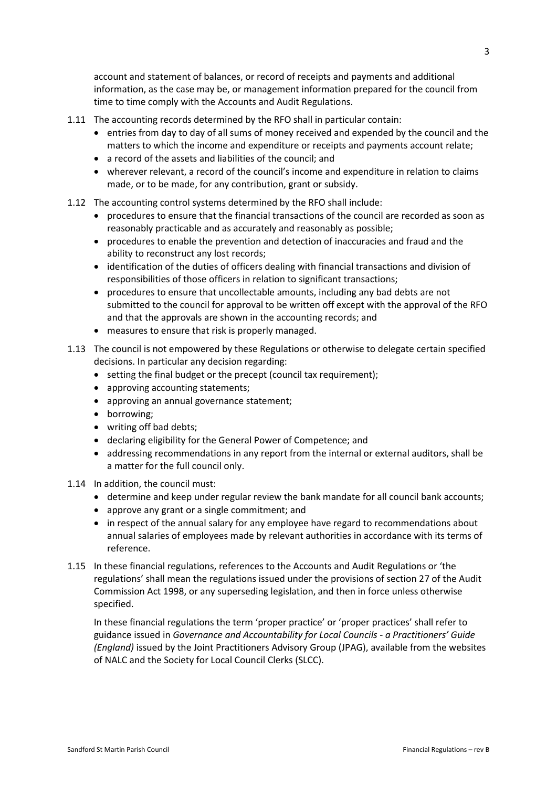account and statement of balances, or record of receipts and payments and additional information, as the case may be, or management information prepared for the council from time to time comply with the Accounts and Audit Regulations.

- 1.11 The accounting records determined by the RFO shall in particular contain:
	- entries from day to day of all sums of money received and expended by the council and the matters to which the income and expenditure or receipts and payments account relate;
	- a record of the assets and liabilities of the council; and
	- wherever relevant, a record of the council's income and expenditure in relation to claims made, or to be made, for any contribution, grant or subsidy.
- 1.12 The accounting control systems determined by the RFO shall include:
	- procedures to ensure that the financial transactions of the council are recorded as soon as reasonably practicable and as accurately and reasonably as possible;
	- procedures to enable the prevention and detection of inaccuracies and fraud and the ability to reconstruct any lost records;
	- identification of the duties of officers dealing with financial transactions and division of responsibilities of those officers in relation to significant transactions;
	- procedures to ensure that uncollectable amounts, including any bad debts are not submitted to the council for approval to be written off except with the approval of the RFO and that the approvals are shown in the accounting records; and
	- measures to ensure that risk is properly managed.
- 1.13 The council is not empowered by these Regulations or otherwise to delegate certain specified decisions. In particular any decision regarding:
	- setting the final budget or the precept (council tax requirement);
	- approving accounting statements;
	- approving an annual governance statement;
	- borrowing;
	- writing off bad debts;
	- declaring eligibility for the General Power of Competence; and
	- addressing recommendations in any report from the internal or external auditors, shall be a matter for the full council only.
- 1.14 In addition, the council must:
	- determine and keep under regular review the bank mandate for all council bank accounts;
	- approve any grant or a single commitment; and
	- in respect of the annual salary for any employee have regard to recommendations about annual salaries of employees made by relevant authorities in accordance with its terms of reference.
- 1.15 In these financial regulations, references to the Accounts and Audit Regulations or 'the regulations' shall mean the regulations issued under the provisions of section 27 of the Audit Commission Act 1998, or any superseding legislation, and then in force unless otherwise specified.

In these financial regulations the term 'proper practice' or 'proper practices' shall refer to guidance issued in *Governance and Accountability for Local Councils - a Practitioners' Guide (England)* issued by the Joint Practitioners Advisory Group (JPAG), available from the websites of NALC and the Society for Local Council Clerks (SLCC).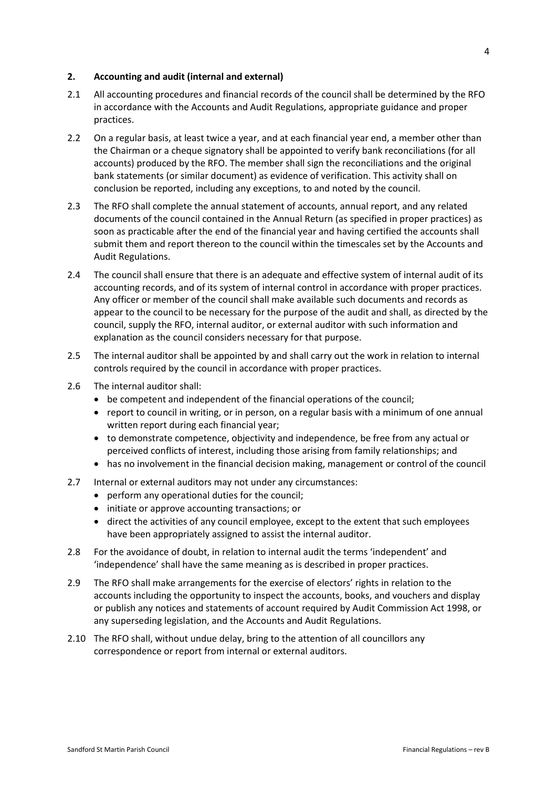## **2. Accounting and audit (internal and external)**

- 2.1 All accounting procedures and financial records of the council shall be determined by the RFO in accordance with the Accounts and Audit Regulations, appropriate guidance and proper practices.
- 2.2 On a regular basis, at least twice a year, and at each financial year end, a member other than the Chairman or a cheque signatory shall be appointed to verify bank reconciliations (for all accounts) produced by the RFO. The member shall sign the reconciliations and the original bank statements (or similar document) as evidence of verification. This activity shall on conclusion be reported, including any exceptions, to and noted by the council.
- 2.3 The RFO shall complete the annual statement of accounts, annual report, and any related documents of the council contained in the Annual Return (as specified in proper practices) as soon as practicable after the end of the financial year and having certified the accounts shall submit them and report thereon to the council within the timescales set by the Accounts and Audit Regulations.
- 2.4 The council shall ensure that there is an adequate and effective system of internal audit of its accounting records, and of its system of internal control in accordance with proper practices. Any officer or member of the council shall make available such documents and records as appear to the council to be necessary for the purpose of the audit and shall, as directed by the council, supply the RFO, internal auditor, or external auditor with such information and explanation as the council considers necessary for that purpose.
- 2.5 The internal auditor shall be appointed by and shall carry out the work in relation to internal controls required by the council in accordance with proper practices.
- 2.6 The internal auditor shall:
	- be competent and independent of the financial operations of the council;
	- report to council in writing, or in person, on a regular basis with a minimum of one annual written report during each financial year;
	- to demonstrate competence, objectivity and independence, be free from any actual or perceived conflicts of interest, including those arising from family relationships; and
	- has no involvement in the financial decision making, management or control of the council
- 2.7 Internal or external auditors may not under any circumstances:
	- perform any operational duties for the council;
	- initiate or approve accounting transactions; or
	- direct the activities of any council employee, except to the extent that such employees have been appropriately assigned to assist the internal auditor.
- 2.8 For the avoidance of doubt, in relation to internal audit the terms 'independent' and 'independence' shall have the same meaning as is described in proper practices.
- 2.9 The RFO shall make arrangements for the exercise of electors' rights in relation to the accounts including the opportunity to inspect the accounts, books, and vouchers and display or publish any notices and statements of account required by Audit Commission Act 1998, or any superseding legislation, and the Accounts and Audit Regulations.
- 2.10 The RFO shall, without undue delay, bring to the attention of all councillors any correspondence or report from internal or external auditors.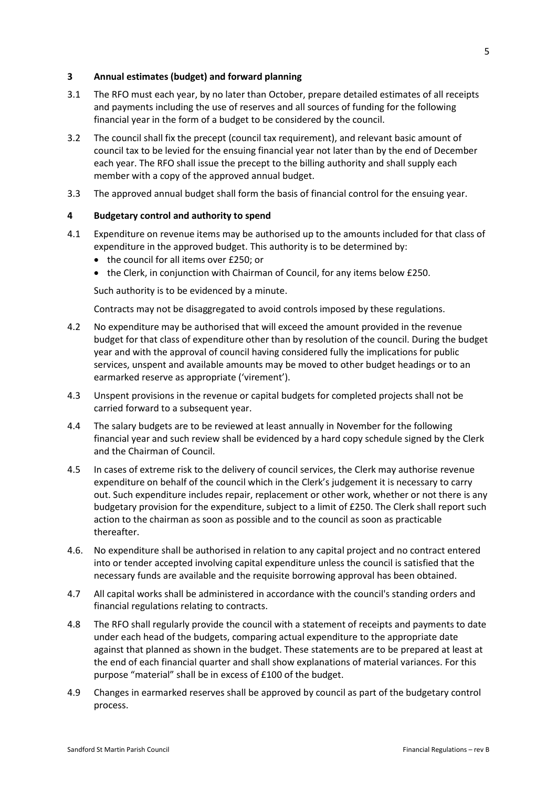## **3 Annual estimates (budget) and forward planning**

- 3.1 The RFO must each year, by no later than October, prepare detailed estimates of all receipts and payments including the use of reserves and all sources of funding for the following financial year in the form of a budget to be considered by the council.
- 3.2 The council shall fix the precept (council tax requirement), and relevant basic amount of council tax to be levied for the ensuing financial year not later than by the end of December each year. The RFO shall issue the precept to the billing authority and shall supply each member with a copy of the approved annual budget.
- 3.3 The approved annual budget shall form the basis of financial control for the ensuing year.

### **4 Budgetary control and authority to spend**

- 4.1 Expenditure on revenue items may be authorised up to the amounts included for that class of expenditure in the approved budget. This authority is to be determined by:
	- the council for all items over £250; or
	- the Clerk, in conjunction with Chairman of Council, for any items below £250.

Such authority is to be evidenced by a minute.

Contracts may not be disaggregated to avoid controls imposed by these regulations.

- 4.2 No expenditure may be authorised that will exceed the amount provided in the revenue budget for that class of expenditure other than by resolution of the council. During the budget year and with the approval of council having considered fully the implications for public services, unspent and available amounts may be moved to other budget headings or to an earmarked reserve as appropriate ('virement').
- 4.3 Unspent provisions in the revenue or capital budgets for completed projects shall not be carried forward to a subsequent year.
- 4.4 The salary budgets are to be reviewed at least annually in November for the following financial year and such review shall be evidenced by a hard copy schedule signed by the Clerk and the Chairman of Council.
- 4.5 In cases of extreme risk to the delivery of council services, the Clerk may authorise revenue expenditure on behalf of the council which in the Clerk's judgement it is necessary to carry out. Such expenditure includes repair, replacement or other work, whether or not there is any budgetary provision for the expenditure, subject to a limit of £250. The Clerk shall report such action to the chairman as soon as possible and to the council as soon as practicable thereafter.
- 4.6. No expenditure shall be authorised in relation to any capital project and no contract entered into or tender accepted involving capital expenditure unless the council is satisfied that the necessary funds are available and the requisite borrowing approval has been obtained.
- 4.7 All capital works shall be administered in accordance with the council's standing orders and financial regulations relating to contracts.
- 4.8 The RFO shall regularly provide the council with a statement of receipts and payments to date under each head of the budgets, comparing actual expenditure to the appropriate date against that planned as shown in the budget. These statements are to be prepared at least at the end of each financial quarter and shall show explanations of material variances. For this purpose "material" shall be in excess of £100 of the budget.
- 4.9 Changes in earmarked reserves shall be approved by council as part of the budgetary control process.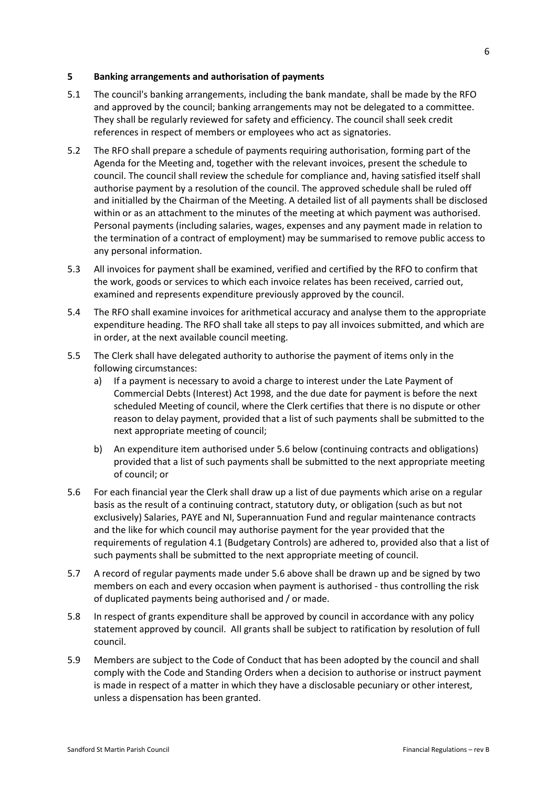#### **5 Banking arrangements and authorisation of payments**

- 5.1 The council's banking arrangements, including the bank mandate, shall be made by the RFO and approved by the council; banking arrangements may not be delegated to a committee. They shall be regularly reviewed for safety and efficiency. The council shall seek credit references in respect of members or employees who act as signatories.
- 5.2 The RFO shall prepare a schedule of payments requiring authorisation, forming part of the Agenda for the Meeting and, together with the relevant invoices, present the schedule to council. The council shall review the schedule for compliance and, having satisfied itself shall authorise payment by a resolution of the council. The approved schedule shall be ruled off and initialled by the Chairman of the Meeting. A detailed list of all payments shall be disclosed within or as an attachment to the minutes of the meeting at which payment was authorised. Personal payments (including salaries, wages, expenses and any payment made in relation to the termination of a contract of employment) may be summarised to remove public access to any personal information.
- 5.3 All invoices for payment shall be examined, verified and certified by the RFO to confirm that the work, goods or services to which each invoice relates has been received, carried out, examined and represents expenditure previously approved by the council.
- 5.4 The RFO shall examine invoices for arithmetical accuracy and analyse them to the appropriate expenditure heading. The RFO shall take all steps to pay all invoices submitted, and which are in order, at the next available council meeting.
- 5.5 The Clerk shall have delegated authority to authorise the payment of items only in the following circumstances:
	- a) If a payment is necessary to avoid a charge to interest under the Late Payment of Commercial Debts (Interest) Act 1998, and the due date for payment is before the next scheduled Meeting of council, where the Clerk certifies that there is no dispute or other reason to delay payment, provided that a list of such payments shall be submitted to the next appropriate meeting of council;
	- b) An expenditure item authorised under 5.6 below (continuing contracts and obligations) provided that a list of such payments shall be submitted to the next appropriate meeting of council; or
- 5.6 For each financial year the Clerk shall draw up a list of due payments which arise on a regular basis as the result of a continuing contract, statutory duty, or obligation (such as but not exclusively) Salaries, PAYE and NI, Superannuation Fund and regular maintenance contracts and the like for which council may authorise payment for the year provided that the requirements of regulation 4.1 (Budgetary Controls) are adhered to, provided also that a list of such payments shall be submitted to the next appropriate meeting of council.
- 5.7 A record of regular payments made under 5.6 above shall be drawn up and be signed by two members on each and every occasion when payment is authorised - thus controlling the risk of duplicated payments being authorised and / or made.
- 5.8 In respect of grants expenditure shall be approved by council in accordance with any policy statement approved by council. All grants shall be subject to ratification by resolution of full council.
- 5.9 Members are subject to the Code of Conduct that has been adopted by the council and shall comply with the Code and Standing Orders when a decision to authorise or instruct payment is made in respect of a matter in which they have a disclosable pecuniary or other interest, unless a dispensation has been granted.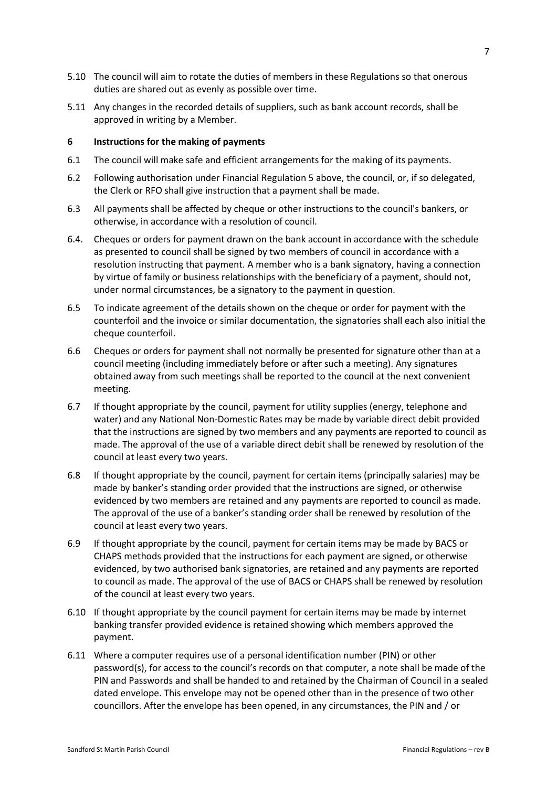- 5.10 The council will aim to rotate the duties of members in these Regulations so that onerous duties are shared out as evenly as possible over time.
- 5.11 Any changes in the recorded details of suppliers, such as bank account records, shall be approved in writing by a Member.

## **6 Instructions for the making of payments**

- 6.1 The council will make safe and efficient arrangements for the making of its payments.
- 6.2 Following authorisation under Financial Regulation 5 above, the council, or, if so delegated, the Clerk or RFO shall give instruction that a payment shall be made.
- 6.3 All payments shall be affected by cheque or other instructions to the council's bankers, or otherwise, in accordance with a resolution of council.
- 6.4. Cheques or orders for payment drawn on the bank account in accordance with the schedule as presented to council shall be signed by two members of council in accordance with a resolution instructing that payment. A member who is a bank signatory, having a connection by virtue of family or business relationships with the beneficiary of a payment, should not, under normal circumstances, be a signatory to the payment in question.
- 6.5 To indicate agreement of the details shown on the cheque or order for payment with the counterfoil and the invoice or similar documentation, the signatories shall each also initial the cheque counterfoil.
- 6.6 Cheques or orders for payment shall not normally be presented for signature other than at a council meeting (including immediately before or after such a meeting). Any signatures obtained away from such meetings shall be reported to the council at the next convenient meeting.
- 6.7 If thought appropriate by the council, payment for utility supplies (energy, telephone and water) and any National Non-Domestic Rates may be made by variable direct debit provided that the instructions are signed by two members and any payments are reported to council as made. The approval of the use of a variable direct debit shall be renewed by resolution of the council at least every two years.
- 6.8 If thought appropriate by the council, payment for certain items (principally salaries) may be made by banker's standing order provided that the instructions are signed, or otherwise evidenced by two members are retained and any payments are reported to council as made. The approval of the use of a banker's standing order shall be renewed by resolution of the council at least every two years.
- 6.9 If thought appropriate by the council, payment for certain items may be made by BACS or CHAPS methods provided that the instructions for each payment are signed, or otherwise evidenced, by two authorised bank signatories, are retained and any payments are reported to council as made. The approval of the use of BACS or CHAPS shall be renewed by resolution of the council at least every two years.
- 6.10 If thought appropriate by the council payment for certain items may be made by internet banking transfer provided evidence is retained showing which members approved the payment.
- 6.11 Where a computer requires use of a personal identification number (PIN) or other password(s), for access to the council's records on that computer, a note shall be made of the PIN and Passwords and shall be handed to and retained by the Chairman of Council in a sealed dated envelope. This envelope may not be opened other than in the presence of two other councillors. After the envelope has been opened, in any circumstances, the PIN and / or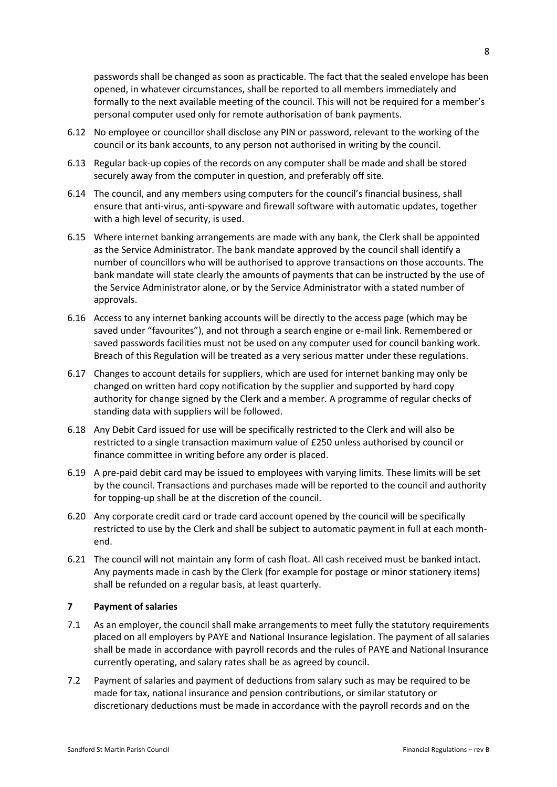passwords shall be changed as soon as practicable. The fact that the sealed envelope has been opened, in whatever circumstances, shall be reported to all members immediately and formally to the next available meeting of the council. This will not be required for a member's personal computer used only for remote authorisation of bank payments.

- 6.12 No employee or councillor shall disclose any PIN or password, relevant to the working of the council or its bank accounts, to any person not authorised in writing by the council.
- 6.13 Regular back-up copies of the records on any computer shall be made and shall be stored securely away from the computer in question, and preferably off site.
- 6.14 The council, and any members using computers for the council's financial business, shall ensure that anti-virus, anti-spyware and firewall software with automatic updates, together with a high level of security, is used.
- 6.15 Where internet banking arrangements are made with any bank, the Clerk shall be appointed as the Service Administrator. The bank mandate approved by the council shall identify a number of councillors who will be authorised to approve transactions on those accounts. The bank mandate will state clearly the amounts of payments that can be instructed by the use of the Service Administrator alone, or by the Service Administrator with a stated number of approvals.
- 6.16 Access to any internet banking accounts will be directly to the access page (which may be saved under "favourites"), and not through a search engine or e-mail link. Remembered or saved passwords facilities must not be used on any computer used for council banking work. Breach of this Regulation will be treated as a very serious matter under these regulations.
- 6.17 Changes to account details for suppliers, which are used for internet banking may only be changed on written hard copy notification by the supplier and supported by hard copy authority for change signed by the Clerk and a member. A programme of regular checks of standing data with suppliers will be followed.
- 6.18 Any Debit Card issued for use will be specifically restricted to the Clerk and will also be restricted to a single transaction maximum value of £250 unless authorised by council or finance committee in writing before any order is placed.
- 6.19 A pre-paid debit card may be issued to employees with varying limits. These limits will be set by the council. Transactions and purchases made will be reported to the council and authority for topping-up shall be at the discretion of the council.
- 6.20 Any corporate credit card or trade card account opened by the council will be specifically restricted to use by the Clerk and shall be subject to automatic payment in full at each monthend.
- 6.21 The council will not maintain any form of cash float. All cash received must be banked intact. Any payments made in cash by the Clerk (for example for postage or minor stationery items) shall be refunded on a regular basis, at least quarterly.

#### **7 Payment of salaries**

- 7.1 As an employer, the council shall make arrangements to meet fully the statutory requirements placed on all employers by PAYE and National Insurance legislation. The payment of all salaries shall be made in accordance with payroll records and the rules of PAYE and National Insurance currently operating, and salary rates shall be as agreed by council.
- 7.2 Payment of salaries and payment of deductions from salary such as may be required to be made for tax, national insurance and pension contributions, or similar statutory or discretionary deductions must be made in accordance with the payroll records and on the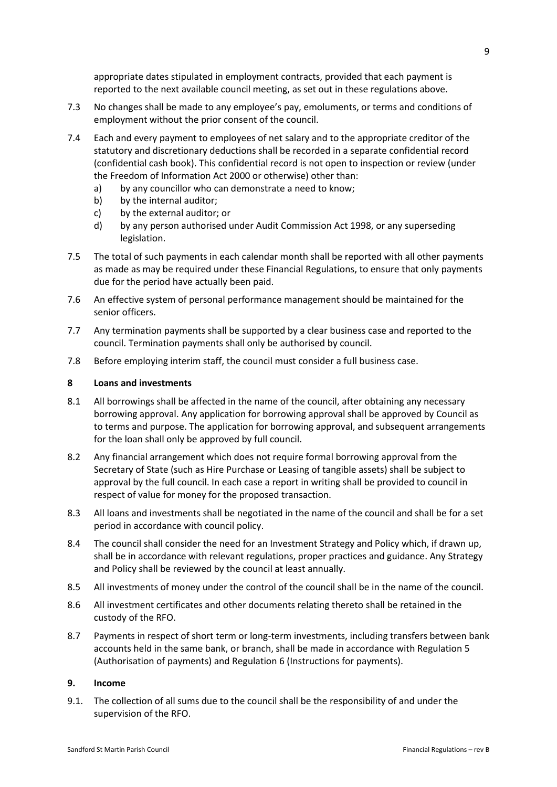appropriate dates stipulated in employment contracts, provided that each payment is reported to the next available council meeting, as set out in these regulations above.

- 7.3 No changes shall be made to any employee's pay, emoluments, or terms and conditions of employment without the prior consent of the council.
- 7.4 Each and every payment to employees of net salary and to the appropriate creditor of the statutory and discretionary deductions shall be recorded in a separate confidential record (confidential cash book). This confidential record is not open to inspection or review (under the Freedom of Information Act 2000 or otherwise) other than:
	- a) by any councillor who can demonstrate a need to know;
	- b) by the internal auditor;
	- c) by the external auditor; or
	- d) by any person authorised under Audit Commission Act 1998, or any superseding legislation.
- 7.5 The total of such payments in each calendar month shall be reported with all other payments as made as may be required under these Financial Regulations, to ensure that only payments due for the period have actually been paid.
- 7.6 An effective system of personal performance management should be maintained for the senior officers.
- 7.7 Any termination payments shall be supported by a clear business case and reported to the council. Termination payments shall only be authorised by council.
- 7.8 Before employing interim staff, the council must consider a full business case.

### **8 Loans and investments**

- 8.1 All borrowings shall be affected in the name of the council, after obtaining any necessary borrowing approval. Any application for borrowing approval shall be approved by Council as to terms and purpose. The application for borrowing approval, and subsequent arrangements for the loan shall only be approved by full council.
- 8.2 Any financial arrangement which does not require formal borrowing approval from the Secretary of State (such as Hire Purchase or Leasing of tangible assets) shall be subject to approval by the full council. In each case a report in writing shall be provided to council in respect of value for money for the proposed transaction.
- 8.3 All loans and investments shall be negotiated in the name of the council and shall be for a set period in accordance with council policy.
- 8.4 The council shall consider the need for an Investment Strategy and Policy which, if drawn up, shall be in accordance with relevant regulations, proper practices and guidance. Any Strategy and Policy shall be reviewed by the council at least annually.
- 8.5 All investments of money under the control of the council shall be in the name of the council.
- 8.6 All investment certificates and other documents relating thereto shall be retained in the custody of the RFO.
- 8.7 Payments in respect of short term or long-term investments, including transfers between bank accounts held in the same bank, or branch, shall be made in accordance with Regulation 5 (Authorisation of payments) and Regulation 6 (Instructions for payments).

#### **9. Income**

9.1. The collection of all sums due to the council shall be the responsibility of and under the supervision of the RFO.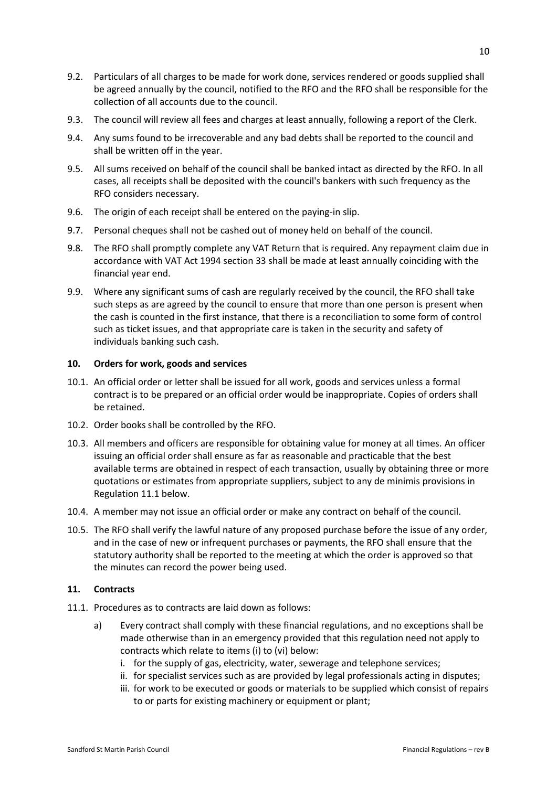- 9.2. Particulars of all charges to be made for work done, services rendered or goods supplied shall be agreed annually by the council, notified to the RFO and the RFO shall be responsible for the collection of all accounts due to the council.
- 9.3. The council will review all fees and charges at least annually, following a report of the Clerk.
- 9.4. Any sums found to be irrecoverable and any bad debts shall be reported to the council and shall be written off in the year.
- 9.5. All sums received on behalf of the council shall be banked intact as directed by the RFO. In all cases, all receipts shall be deposited with the council's bankers with such frequency as the RFO considers necessary.
- 9.6. The origin of each receipt shall be entered on the paying-in slip.
- 9.7. Personal cheques shall not be cashed out of money held on behalf of the council.
- 9.8. The RFO shall promptly complete any VAT Return that is required. Any repayment claim due in accordance with VAT Act 1994 section 33 shall be made at least annually coinciding with the financial year end.
- 9.9. Where any significant sums of cash are regularly received by the council, the RFO shall take such steps as are agreed by the council to ensure that more than one person is present when the cash is counted in the first instance, that there is a reconciliation to some form of control such as ticket issues, and that appropriate care is taken in the security and safety of individuals banking such cash.

# **10. Orders for work, goods and services**

- 10.1. An official order or letter shall be issued for all work, goods and services unless a formal contract is to be prepared or an official order would be inappropriate. Copies of orders shall be retained.
- 10.2. Order books shall be controlled by the RFO.
- 10.3. All members and officers are responsible for obtaining value for money at all times. An officer issuing an official order shall ensure as far as reasonable and practicable that the best available terms are obtained in respect of each transaction, usually by obtaining three or more quotations or estimates from appropriate suppliers, subject to any de minimis provisions in Regulation 11.1 below.
- 10.4. A member may not issue an official order or make any contract on behalf of the council.
- 10.5. The RFO shall verify the lawful nature of any proposed purchase before the issue of any order, and in the case of new or infrequent purchases or payments, the RFO shall ensure that the statutory authority shall be reported to the meeting at which the order is approved so that the minutes can record the power being used.

# **11. Contracts**

- 11.1. Procedures as to contracts are laid down as follows:
	- a) Every contract shall comply with these financial regulations, and no exceptions shall be made otherwise than in an emergency provided that this regulation need not apply to contracts which relate to items (i) to (vi) below:
		- i. for the supply of gas, electricity, water, sewerage and telephone services;
		- ii. for specialist services such as are provided by legal professionals acting in disputes;
		- iii. for work to be executed or goods or materials to be supplied which consist of repairs to or parts for existing machinery or equipment or plant;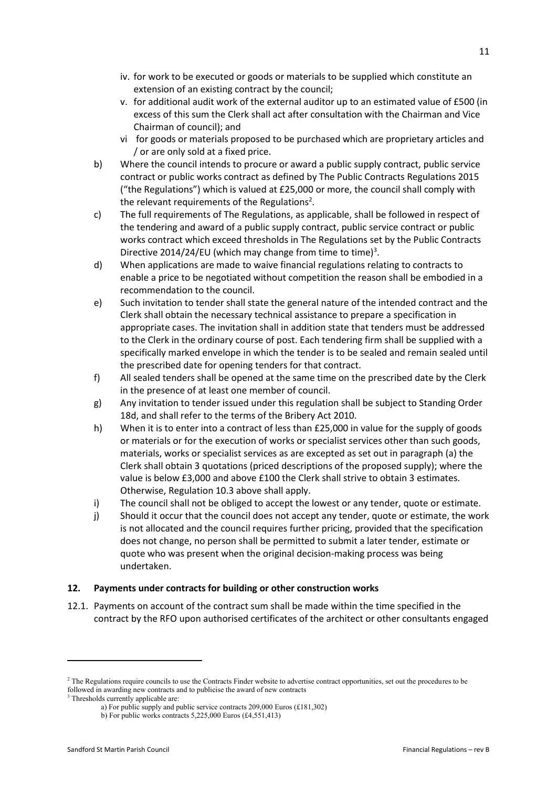- iv. for work to be executed or goods or materials to be supplied which constitute an extension of an existing contract by the council;
- v. for additional audit work of the external auditor up to an estimated value of £500 (in excess of this sum the Clerk shall act after consultation with the Chairman and Vice Chairman of council); and
- vi for goods or materials proposed to be purchased which are proprietary articles and / or are only sold at a fixed price.
- b) Where the council intends to procure or award a public supply contract, public service contract or public works contract as defined by The Public Contracts Regulations 2015 ("the Regulations") which is valued at £25,000 or more, the council shall comply with the relevant requirements of the Regulations<sup>2</sup>.
- c) The full requirements of The Regulations, as applicable, shall be followed in respect of the tendering and award of a public supply contract, public service contract or public works contract which exceed thresholds in The Regulations set by the Public Contracts Directive 2014/24/EU (which may change from time to time)<sup>3</sup>.
- d) When applications are made to waive financial regulations relating to contracts to enable a price to be negotiated without competition the reason shall be embodied in a recommendation to the council.
- e) Such invitation to tender shall state the general nature of the intended contract and the Clerk shall obtain the necessary technical assistance to prepare a specification in appropriate cases. The invitation shall in addition state that tenders must be addressed to the Clerk in the ordinary course of post. Each tendering firm shall be supplied with a specifically marked envelope in which the tender is to be sealed and remain sealed until the prescribed date for opening tenders for that contract.
- f) All sealed tenders shall be opened at the same time on the prescribed date by the Clerk in the presence of at least one member of council.
- g) Any invitation to tender issued under this regulation shall be subject to Standing Order 18d, and shall refer to the terms of the Bribery Act 2010.
- h) When it is to enter into a contract of less than £25,000 in value for the supply of goods or materials or for the execution of works or specialist services other than such goods, materials, works or specialist services as are excepted as set out in paragraph (a) the Clerk shall obtain 3 quotations (priced descriptions of the proposed supply); where the value is below £3,000 and above £100 the Clerk shall strive to obtain 3 estimates. Otherwise, Regulation 10.3 above shall apply.
- i) The council shall not be obliged to accept the lowest or any tender, quote or estimate.
- j) Should it occur that the council does not accept any tender, quote or estimate, the work is not allocated and the council requires further pricing, provided that the specification does not change, no person shall be permitted to submit a later tender, estimate or quote who was present when the original decision-making process was being undertaken.

# **12. Payments under contracts for building or other construction works**

12.1. Payments on account of the contract sum shall be made within the time specified in the contract by the RFO upon authorised certificates of the architect or other consultants engaged

<sup>&</sup>lt;sup>2</sup> The Regulations require councils to use the Contracts Finder website to advertise contract opportunities, set out the procedures to be followed in awarding new contracts and to publicise the award of new contracts

<sup>&</sup>lt;sup>3</sup> Thresholds currently applicable are:

a) For public supply and public service contracts 209,000 Euros (£181,302)

b) For public works contracts 5,225,000 Euros (£4,551,413)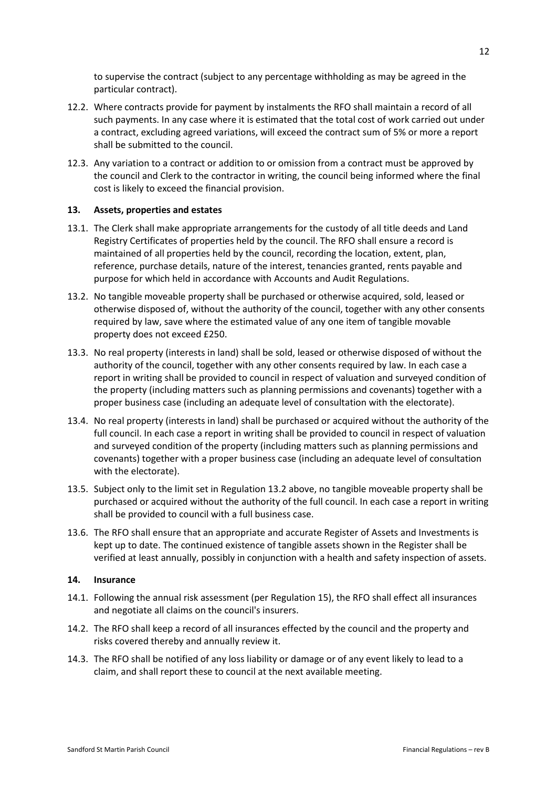to supervise the contract (subject to any percentage withholding as may be agreed in the particular contract).

- 12.2. Where contracts provide for payment by instalments the RFO shall maintain a record of all such payments. In any case where it is estimated that the total cost of work carried out under a contract, excluding agreed variations, will exceed the contract sum of 5% or more a report shall be submitted to the council.
- 12.3. Any variation to a contract or addition to or omission from a contract must be approved by the council and Clerk to the contractor in writing, the council being informed where the final cost is likely to exceed the financial provision.

# **13. Assets, properties and estates**

- 13.1. The Clerk shall make appropriate arrangements for the custody of all title deeds and Land Registry Certificates of properties held by the council. The RFO shall ensure a record is maintained of all properties held by the council, recording the location, extent, plan, reference, purchase details, nature of the interest, tenancies granted, rents payable and purpose for which held in accordance with Accounts and Audit Regulations.
- 13.2. No tangible moveable property shall be purchased or otherwise acquired, sold, leased or otherwise disposed of, without the authority of the council, together with any other consents required by law, save where the estimated value of any one item of tangible movable property does not exceed £250.
- 13.3. No real property (interests in land) shall be sold, leased or otherwise disposed of without the authority of the council, together with any other consents required by law. In each case a report in writing shall be provided to council in respect of valuation and surveyed condition of the property (including matters such as planning permissions and covenants) together with a proper business case (including an adequate level of consultation with the electorate).
- 13.4. No real property (interests in land) shall be purchased or acquired without the authority of the full council. In each case a report in writing shall be provided to council in respect of valuation and surveyed condition of the property (including matters such as planning permissions and covenants) together with a proper business case (including an adequate level of consultation with the electorate).
- 13.5. Subject only to the limit set in Regulation 13.2 above, no tangible moveable property shall be purchased or acquired without the authority of the full council. In each case a report in writing shall be provided to council with a full business case.
- 13.6. The RFO shall ensure that an appropriate and accurate Register of Assets and Investments is kept up to date. The continued existence of tangible assets shown in the Register shall be verified at least annually, possibly in conjunction with a health and safety inspection of assets.

# **14. Insurance**

- 14.1. Following the annual risk assessment (per Regulation 15), the RFO shall effect all insurances and negotiate all claims on the council's insurers.
- 14.2. The RFO shall keep a record of all insurances effected by the council and the property and risks covered thereby and annually review it.
- 14.3. The RFO shall be notified of any loss liability or damage or of any event likely to lead to a claim, and shall report these to council at the next available meeting.